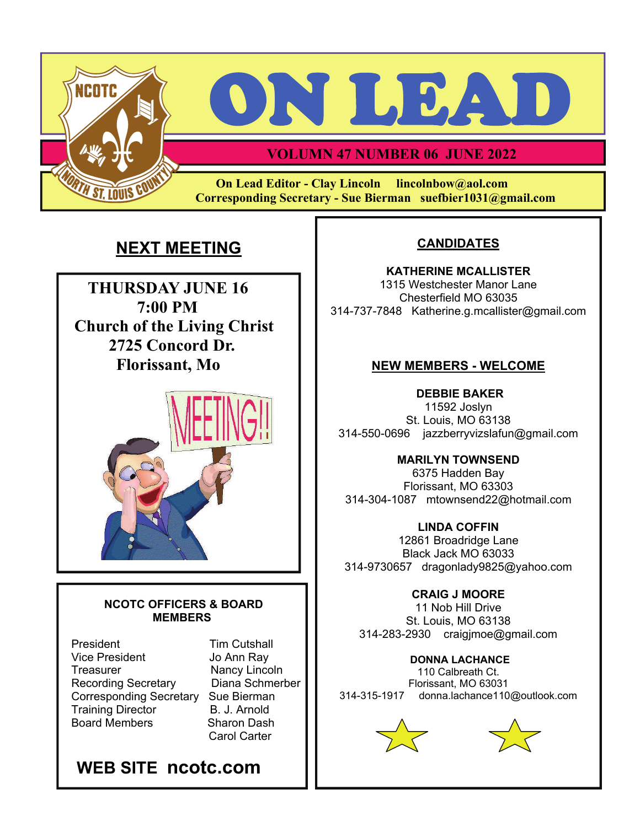



## **VOLUMN 47 NUMBER 06 JUNE 2022**

 **On Lead Editor - Clay Lincoln lincolnbow@aol.com Corresponding Secretary - Sue Bierman suefbier1031@gmail.com** 

# **NEXT MEETING CANDIDATES**

 **THURSDAY JUNE 16 7:00 PM**  **Church of the Living Christ 2725 Concord Dr. Florissant, Mo** 



#### **NCOTC OFFICERS & BOARD MEMBERS**

President Tim Cutshall Vice President Jo Ann Ray Treasurer Nancy Lincoln Recording Secretary Diana Schmerber Corresponding Secretary Sue Bierman Training Director **B. J. Arnold** Board Members Sharon Dash

Carol Carter



**KATHERINE MCALLISTER**  1315 Westchester Manor Lane Chesterfield MO 63035 314-737-7848 Katherine.g.mcallister@gmail.com

#### **NEW MEMBERS - WELCOME**

 **DEBBIE BAKER**  11592 Joslyn St. Louis, MO 63138 314-550-0696 jazzberryvizslafun@gmail.com

#### **MARILYN TOWNSEND**

6375 Hadden Bay Florissant, MO 63303 314-304-1087 mtownsend22@hotmail.com

#### **LINDA COFFIN**

12861 Broadridge Lane Black Jack MO 63033 314-9730657 dragonlady9825@yahoo.com

### **CRAIG J MOORE**

11 Nob Hill Drive St. Louis, MO 63138 314-283-2930 craigjmoe@gmail.com

#### **DONNA LACHANCE**  110 Calbreath Ct.

Florissant, MO 63031 314-315-1917 donna.lachance110@outlook.com



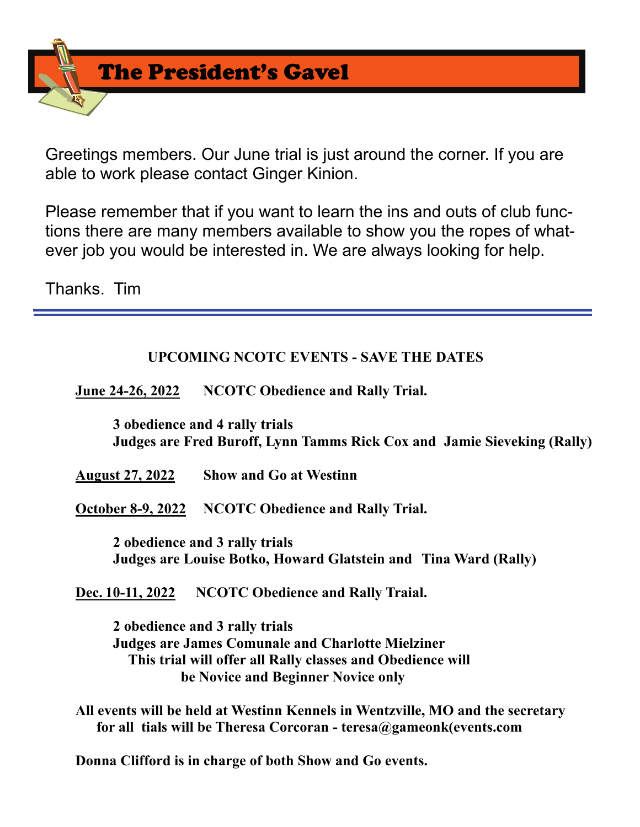The President's Gavel

Greetings members. Our June trial is just around the corner. If you are able to work please contact Ginger Kinion.

Please remember that if you want to learn the ins and outs of club functions there are many members available to show you the ropes of whatever job you would be interested in. We are always looking for help.

Thanks. Tim

## **UPCOMING NCOTC EVENTS - SAVE THE DATES**

 **June 24-26, 2022 NCOTC Obedience and Rally Trial.** 

 **3 obedience and 4 rally trials Judges are Fred Buroff, Lynn Tamms Rick Cox and Jamie Sieveking (Rally)** 

 **August 27, 2022 Show and Go at Westinn** 

 **October 8-9, 2022 NCOTC Obedience and Rally Trial.** 

 **2 obedience and 3 rally trials Judges are Louise Botko, Howard Glatstein and Tina Ward (Rally)** 

 **Dec. 10-11, 2022 NCOTC Obedience and Rally Traial.** 

 **2 obedience and 3 rally trials Judges are James Comunale and Charlotte Mielziner This trial will offer all Rally classes and Obedience will be Novice and Beginner Novice only** 

 **All events will be held at Westinn Kennels in Wentzville, MO and the secretary for all tials will be Theresa Corcoran - teresa@gameonk(events.com** 

 **Donna Clifford is in charge of both Show and Go events.**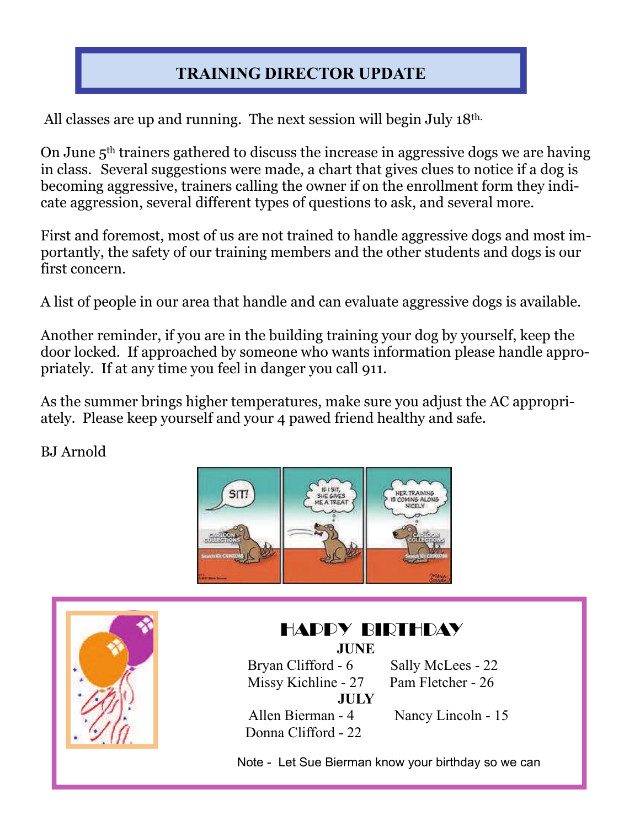# **TRAINING DIRECTOR UPDATE**

All classes are up and running. The next session will begin July 18<sup>th.</sup>

On June 5th trainers gathered to discuss the increase in aggressive dogs we are having in class. Several suggestions were made, a chart that gives clues to notice if a dog is becoming aggressive, trainers calling the owner if on the enrollment form they indicate aggression, several different types of questions to ask, and several more.

First and foremost, most of us are not trained to handle aggressive dogs and most importantly, the safety of our training members and the other students and dogs is our first concern.

A list of people in our area that handle and can evaluate aggressive dogs is available.

Another reminder, if you are in the building training your dog by yourself, keep the door locked. If approached by someone who wants information please handle appropriately. If at any time you feel in danger you call 911.

As the summer brings higher temperatures, make sure you adjust the AC appropriately. Please keep yourself and your 4 pawed friend healthy and safe.

BJ Arnold





## HAPPY BIRTHDAY **JUNE** Bryan Clifford - 6 Sally McLees - 22 Missy Kichline - 27 Pam Fletcher - 26 **JULY** Allen Bierman - 4 Nancy Lincoln - 15

Donna Clifford - 22

Note - Let Sue Bierman know your birthday so we can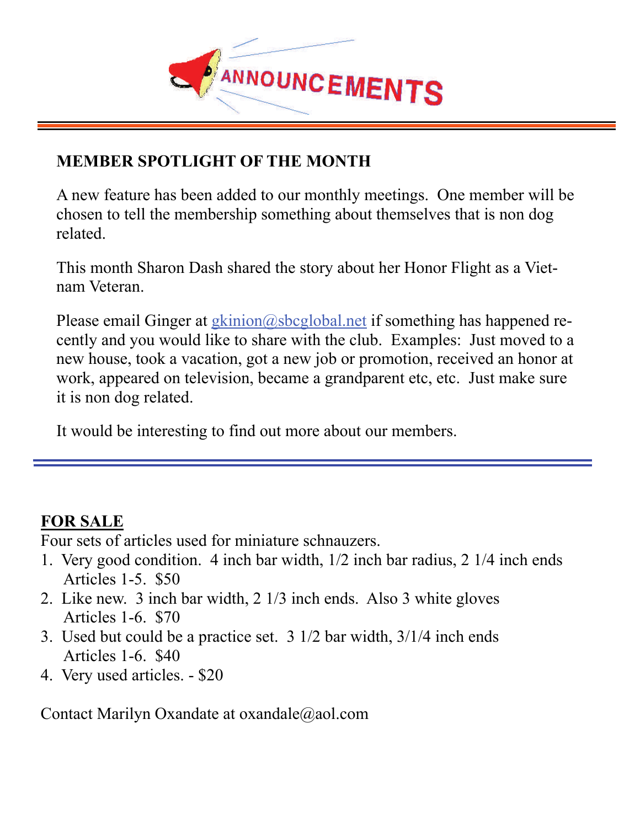

# **MEMBER SPOTLIGHT OF THE MONTH MEMBER SPOTLIGHT OF THE MONTH**

A new feature has been added to our monthly meetings. One member will be A new feature has been added to our monthly meetings. One member will be chosen to tell the membership something about themselves that is non dog chosen to tell the membership something about themselves that is non dog related. related.

This month Sharon Dash shared the story about her Honor Flight as a Viet-This month Sharon Dash shared the story about her Honor Flight as a Vietnam Veteran. nam Veteran.

Please email Ginger at **gkinion@sbcglobal.net** if something has happened recently and you would like to share with the club. Examples: Just moved to a cently and you would like to share with the club. Examples: Just moved to a new house, took a vacation, got a new job or promotion, received an honor at new house, took a vacation, got a new job or promotion, received an honor at work, appeared on television, became a grandparent etc, etc. Just make sure work, appeared on television, became a grandparent etc, etc. Just make sure it is non dog related. it is non dog related.

It would be interesting to find out more about our members. It would be interesting to find out more about our members.

# **FOR SALE**

Four sets of articles used for miniature schnauzers.

- 1. Very good condition. 4 inch bar width, 1/2 inch bar radius, 2 1/4 inch ends Articles 1-5. \$50
- 2. Like new. 3 inch bar width, 2 1/3 inch ends. Also 3 white gloves Articles 1-6. \$70
- 3. Used but could be a practice set. 3 1/2 bar width, 3/1/4 inch ends Articles 1-6. \$40
- 4. Very used articles. \$20

Contact Marilyn Oxandate at oxandale@aol.com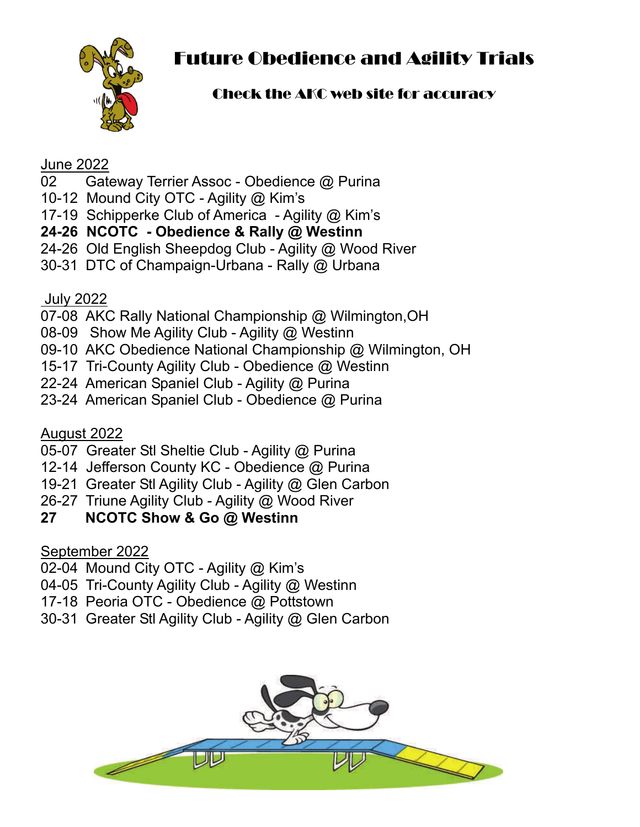

# Future Obedience and Agility Trials

# Check the AKC web site for accuracy

## June 2022

- 02 Gateway Terrier Assoc Obedience @ Purina
- 10-12 Mound City OTC Agility @ Kim's
- 17-19 Schipperke Club of America Agility @ Kim's
- **24-26 NCOTC Obedience & Rally @ Westinn**
- 24-26 Old English Sheepdog Club Agility @ Wood River
- 30-31 DTC of Champaign-Urbana Rally @ Urbana

## July 2022

- 07-08 AKC Rally National Championship @ Wilmington,OH
- 08-09 Show Me Agility Club Agility @ Westinn
- 09-10 AKC Obedience National Championship @ Wilmington, OH
- 15-17 Tri-County Agility Club Obedience @ Westinn
- 22-24 American Spaniel Club Agility @ Purina
- 23-24 American Spaniel Club Obedience @ Purina

## August 2022

- 05-07 Greater Stl Sheltie Club Agility @ Purina
- 12-14 Jefferson County KC Obedience @ Purina
- 19-21 Greater Stl Agility Club Agility @ Glen Carbon
- 26-27 Triune Agility Club Agility @ Wood River

# **27 NCOTC Show & Go @ Westinn**

# September 2022

- 02-04 Mound City OTC Agility @ Kim's
- 04-05 Tri-County Agility Club Agility @ Westinn
- 17-18 Peoria OTC Obedience @ Pottstown
- 30-31 Greater Stl Agility Club Agility @ Glen Carbon

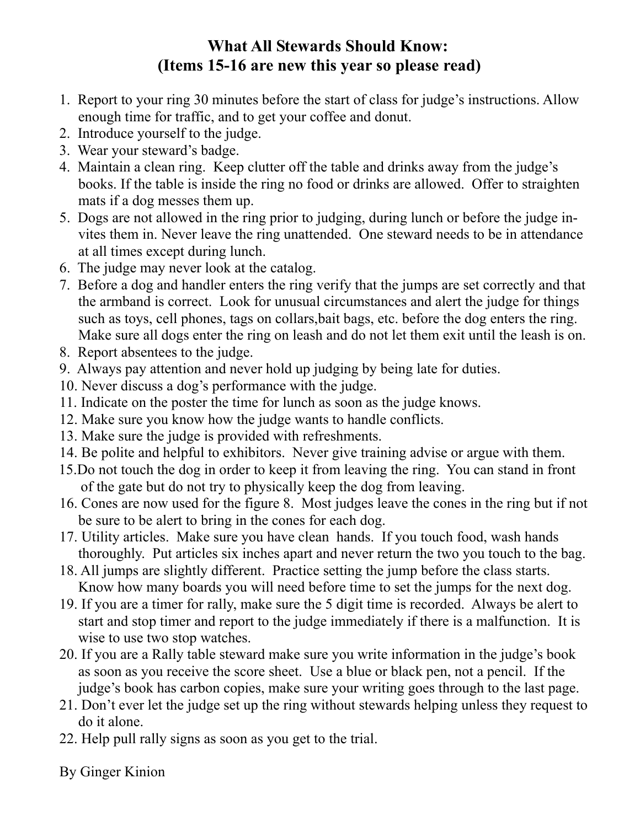# **What All Stewards Should Know: (Items 15-16 are new this year so please read)**

- 1. Report to your ring 30 minutes before the start of class for judge's instructions. Allow enough time for traffic, and to get your coffee and donut.
- 2. Introduce yourself to the judge.
- 3. Wear your steward's badge.
- 4. Maintain a clean ring. Keep clutter off the table and drinks away from the judge's books. If the table is inside the ring no food or drinks are allowed. Offer to straighten mats if a dog messes them up.
- 5. Dogs are not allowed in the ring prior to judging, during lunch or before the judge invites them in. Never leave the ring unattended. One steward needs to be in attendance at all times except during lunch.
- 6. The judge may never look at the catalog.
- 7. Before a dog and handler enters the ring verify that the jumps are set correctly and that the armband is correct. Look for unusual circumstances and alert the judge for things such as toys, cell phones, tags on collars,bait bags, etc. before the dog enters the ring. Make sure all dogs enter the ring on leash and do not let them exit until the leash is on.
- 8. Report absentees to the judge.
- 9. Always pay attention and never hold up judging by being late for duties.
- 10. Never discuss a dog's performance with the judge.
- 11. Indicate on the poster the time for lunch as soon as the judge knows.
- 12. Make sure you know how the judge wants to handle conflicts.
- 13. Make sure the judge is provided with refreshments.
- 14. Be polite and helpful to exhibitors. Never give training advise or argue with them.
- 15.Do not touch the dog in order to keep it from leaving the ring. You can stand in front of the gate but do not try to physically keep the dog from leaving.
- 16. Cones are now used for the figure 8. Most judges leave the cones in the ring but if not be sure to be alert to bring in the cones for each dog.
- 17. Utility articles. Make sure you have clean hands. If you touch food, wash hands thoroughly. Put articles six inches apart and never return the two you touch to the bag.
- 18. All jumps are slightly different. Practice setting the jump before the class starts. Know how many boards you will need before time to set the jumps for the next dog.
- 19. If you are a timer for rally, make sure the 5 digit time is recorded. Always be alert to start and stop timer and report to the judge immediately if there is a malfunction. It is wise to use two stop watches.
- 20. If you are a Rally table steward make sure you write information in the judge's book as soon as you receive the score sheet. Use a blue or black pen, not a pencil. If the judge's book has carbon copies, make sure your writing goes through to the last page.
- 21. Don't ever let the judge set up the ring without stewards helping unless they request to do it alone.
- 22. Help pull rally signs as soon as you get to the trial.

By Ginger Kinion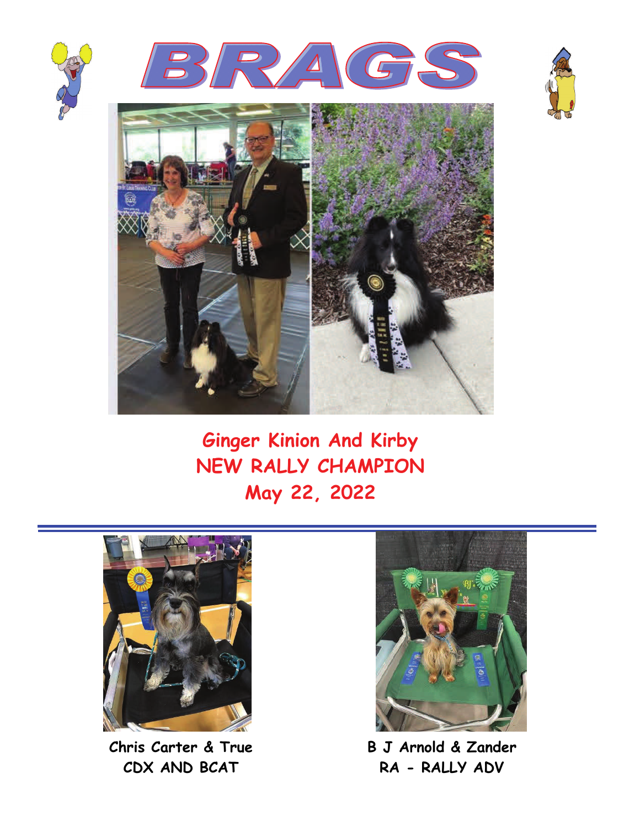







**Ginger Kinion And Kirby NEW RALLY CHAMPION May 22, 2022** 



**Chris Carter & True CDX AND BCAT** 



**B J Arnold & Zander RA - RALLY ADV**